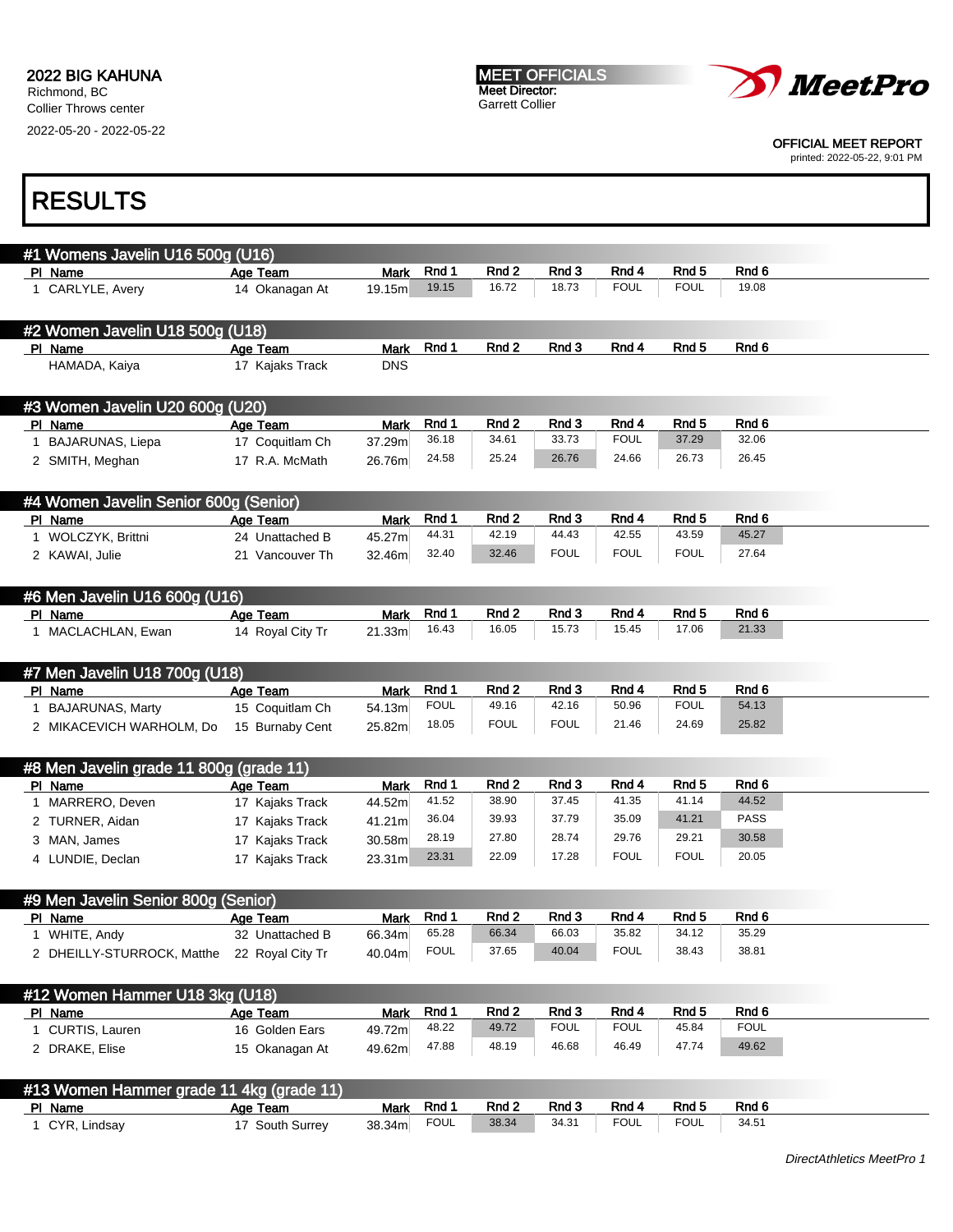Collier Throws center 2022-05-20 - 2022-05-22





OFFICIAL MEET REPORT

printed: 2022-05-22, 9:01 PM

| #1 Womens Javelin U16 500g (U16)                                                                                   |                             |                       |                      |                  |                |                      |                      |                  |
|--------------------------------------------------------------------------------------------------------------------|-----------------------------|-----------------------|----------------------|------------------|----------------|----------------------|----------------------|------------------|
| PI Name                                                                                                            | Age Team                    | <b>Mark</b>           | Rnd 1                | Rnd <sub>2</sub> | Rnd 3          | Rnd 4                | Rnd <sub>5</sub>     | Rnd <sub>6</sub> |
| 1 CARLYLE, Avery                                                                                                   | 14 Okanagan At              | 19.15m                | 19.15                | 16.72            | 18.73          | <b>FOUL</b>          | <b>FOUL</b>          | 19.08            |
|                                                                                                                    |                             |                       |                      |                  |                |                      |                      |                  |
| #2 Women Javelin U18 500g (U18)                                                                                    |                             |                       |                      |                  |                |                      |                      |                  |
| PI Name                                                                                                            | Age Team                    | <b>Mark</b>           | Rnd 1                | Rnd <sub>2</sub> | Rnd 3          | Rnd 4                | Rnd <sub>5</sub>     | Rnd 6            |
|                                                                                                                    |                             |                       |                      |                  |                |                      |                      |                  |
| HAMADA, Kaiya                                                                                                      | 17 Kajaks Track             | <b>DNS</b>            |                      |                  |                |                      |                      |                  |
|                                                                                                                    |                             |                       |                      |                  |                |                      |                      |                  |
| #3 Women Javelin U20 600g (U20)                                                                                    |                             |                       |                      |                  |                |                      |                      |                  |
| PI Name                                                                                                            | Age Team                    | <b>Mark</b>           | Rnd 1                | Rnd <sub>2</sub> | Rnd 3          | Rnd 4                | Rnd <sub>5</sub>     | Rnd 6            |
| 1 BAJARUNAS, Liepa                                                                                                 | 17 Coquitlam Ch             | 37.29m                | 36.18                | 34.61            | 33.73          | <b>FOUL</b>          | 37.29                | 32.06            |
| 2 SMITH, Meghan                                                                                                    | 17 R.A. McMath              | 26.76m                | 24.58                | 25.24            | 26.76          | 24.66                | 26.73                | 26.45            |
|                                                                                                                    |                             |                       |                      |                  |                |                      |                      |                  |
|                                                                                                                    |                             |                       |                      |                  |                |                      |                      |                  |
| #4 Women Javelin Senior 600g (Senior)                                                                              |                             |                       |                      |                  |                |                      |                      |                  |
| PI Name                                                                                                            | Age Team                    | <b>Mark</b>           | Rnd 1                | Rnd 2            | Rnd 3          | Rnd 4                | Rnd <sub>5</sub>     | Rnd 6            |
| 1 WOLCZYK, Brittni                                                                                                 | 24 Unattached B             | 45.27m                | 44.31                | 42.19            | 44.43          | 42.55                | 43.59                | 45.27            |
| 2 KAWAI, Julie                                                                                                     | 21 Vancouver Th             | 32.46m                | 32.40                | 32.46            | <b>FOUL</b>    | <b>FOUL</b>          | <b>FOUL</b>          | 27.64            |
|                                                                                                                    |                             |                       |                      |                  |                |                      |                      |                  |
| #6 Men Javelin U16 600g (U16)                                                                                      |                             |                       |                      |                  |                |                      |                      |                  |
| PI Name                                                                                                            | Age Team                    | <b>Mark</b>           | Rnd 1                | Rnd <sub>2</sub> | Rnd 3          | Rnd 4                | Rnd <sub>5</sub>     | Rnd 6            |
| 1 MACLACHLAN, Ewan                                                                                                 | 14 Royal City Tr            | 21.33m                | 16.43                | 16.05            | 15.73          | 15.45                | 17.06                | 21.33            |
|                                                                                                                    |                             |                       |                      |                  |                |                      |                      |                  |
|                                                                                                                    |                             |                       |                      |                  |                |                      |                      |                  |
| #7 Men Javelin U18 700g (U18)                                                                                      |                             |                       |                      |                  |                |                      |                      |                  |
| PI Name                                                                                                            | Age Team                    | <b>Mark</b>           | Rnd 1                | Rnd 2            | Rnd 3          | Rnd 4                | Rnd 5                | Rnd 6            |
| 1 BAJARUNAS, Marty                                                                                                 | 15 Coquitlam Ch             | 54.13m                | <b>FOUL</b>          | 49.16            | 42.16          | 50.96                | <b>FOUL</b>          | 54.13            |
| 2 MIKACEVICH WARHOLM, Do                                                                                           | 15 Burnaby Cent             | 25.82m                | 18.05                | <b>FOUL</b>      | <b>FOUL</b>    | 21.46                | 24.69                | 25.82            |
|                                                                                                                    |                             |                       |                      |                  |                |                      |                      |                  |
| #8 Men Javelin grade 11 800g (grade 11)                                                                            |                             |                       |                      |                  |                |                      |                      |                  |
|                                                                                                                    |                             |                       | Rnd 1                | Rnd 2            | Rnd 3          | Rnd 4                | Rnd 5                | Rnd <sub>6</sub> |
| PI Name                                                                                                            | Age Team                    | <b>Mark</b>           | 41.52                | 38.90            | 37.45          | 41.35                | 41.14                | 44.52            |
| 1 MARRERO, Deven                                                                                                   | 17 Kajaks Track             | 44.52m                |                      |                  |                |                      |                      |                  |
| 2 TURNER, Aidan                                                                                                    | 17 Kajaks Track             | 41.21m                | 36.04                | 39.93            | 37.79          | 35.09                | 41.21                | <b>PASS</b>      |
| 3 MAN, James                                                                                                       | 17 Kajaks Track             | 30.58m                | 28.19                | 27.80            | 28.74          | 29.76                | 29.21                | 30.58            |
| 4 LUNDIE, Declan                                                                                                   | 17 Kajaks Track             | 23.31 <sub>m</sub>    | 23.31                | 22.09            | 17.28          | <b>FOUL</b>          | <b>FOUL</b>          | 20.05            |
|                                                                                                                    |                             |                       |                      |                  |                |                      |                      |                  |
| #9 Men Javelin Senior 800g (Senior)                                                                                |                             |                       |                      |                  |                |                      |                      |                  |
| PI Name                                                                                                            | Age Team                    | Mark                  | Rnd 1                | Rnd <sub>2</sub> | Rnd 3          | Rnd 4                | Rnd <sub>5</sub>     | Rnd 6            |
|                                                                                                                    | 32 Unattached B             | 66.34m                | 65.28                | 66.34            | 66.03          | 35.82                | 34.12                | 35.29            |
| 1 WHITE, Andy                                                                                                      |                             |                       | <b>FOUL</b>          | 37.65            | 40.04          | <b>FOUL</b>          | 38.43                | 38.81            |
| 2 DHEILLY-STURROCK, Matthe                                                                                         | 22 Royal City Tr            | 40.04m                |                      |                  |                |                      |                      |                  |
|                                                                                                                    |                             |                       |                      |                  |                |                      |                      |                  |
|                                                                                                                    |                             |                       |                      |                  |                |                      |                      |                  |
|                                                                                                                    |                             |                       | Rnd 1                | Rnd 2            | Rnd 3          | Rnd 4                | Rnd <sub>5</sub>     | Rnd 6            |
|                                                                                                                    | Age Team                    | <b>Mark</b>           |                      |                  |                | <b>FOUL</b>          | 45.84                | <b>FOUL</b>      |
|                                                                                                                    | 16 Golden Ears              | 49.72m                | 48.22                | 49.72            | <b>FOUL</b>    |                      |                      |                  |
| 1 CURTIS, Lauren                                                                                                   |                             |                       | 47.88                | 48.19            | 46.68          | 46.49                | 47.74                | 49.62            |
| 2 DRAKE, Elise                                                                                                     | 15 Okanagan At              | 49.62m                |                      |                  |                |                      |                      |                  |
|                                                                                                                    |                             |                       |                      |                  |                |                      |                      |                  |
|                                                                                                                    |                             |                       |                      |                  |                |                      |                      |                  |
| #12 Women Hammer U18 3kg (U18)<br>PI Name<br>#13 Women Hammer grade 11 4kg (grade 11)<br>PI Name<br>1 CYR, Lindsay | Age Team<br>17 South Surrey | <b>Mark</b><br>38.34m | Rnd 1<br><b>FOUL</b> | Rnd 2<br>38.34   | Rnd 3<br>34.31 | Rnd 4<br><b>FOUL</b> | Rnd 5<br><b>FOUL</b> | Rnd 6<br>34.51   |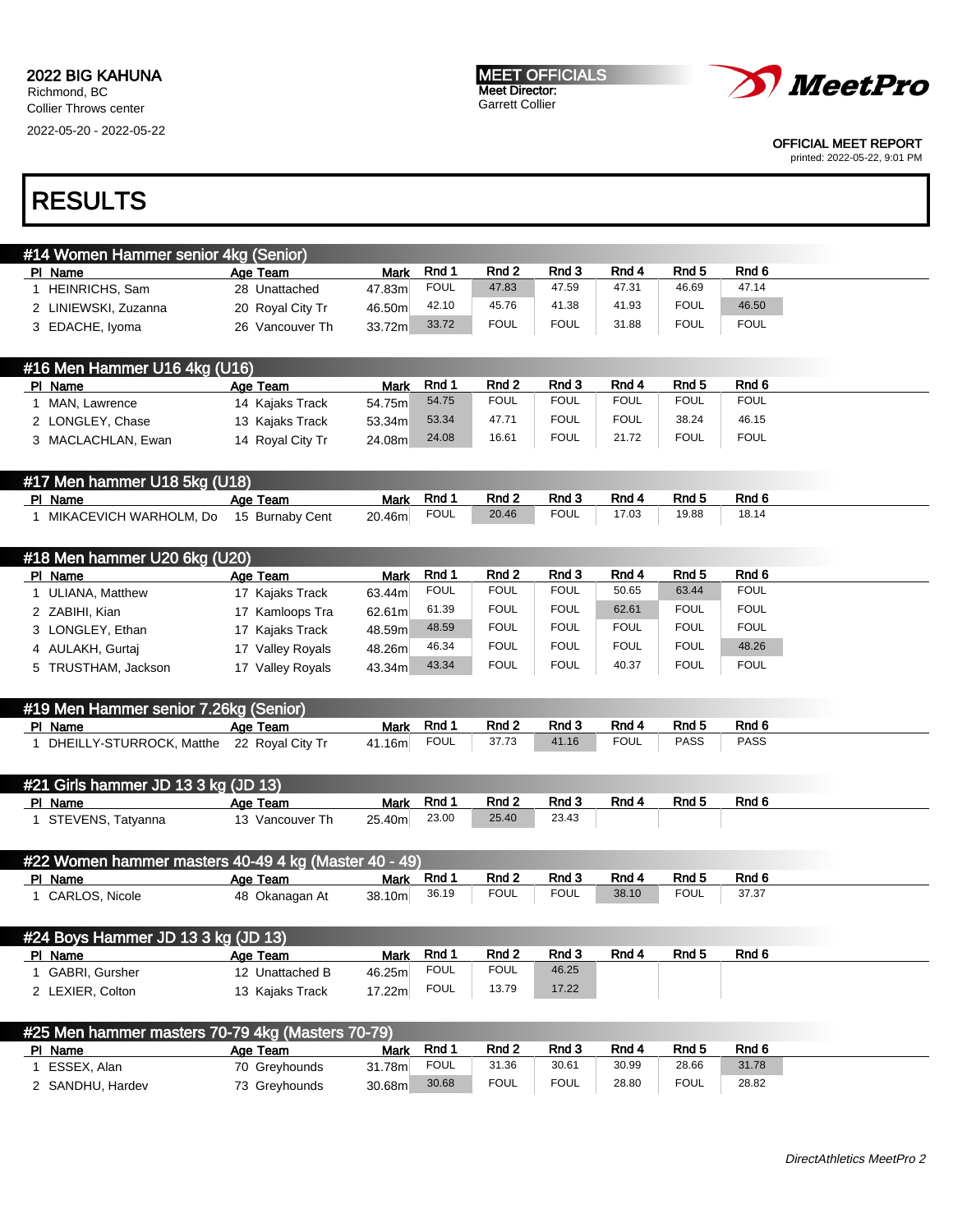MEET OFFICIALS Meet Director: Garrett Collier



OFFICIAL MEET REPORT

printed: 2022-05-22, 9:01 PM

| #14 Women Hammer senior 4kg (Senior) |                  |             |             |             |             |       |             |             |  |
|--------------------------------------|------------------|-------------|-------------|-------------|-------------|-------|-------------|-------------|--|
| PI Name                              | Age Team         | <b>Mark</b> | Rnd 1       | Rnd 2       | Rnd 3       | Rnd 4 | Rnd 5       | Rnd 6       |  |
| <b>HEINRICHS, Sam</b>                | 28 Unattached    | 47.83m      | <b>FOUL</b> | 47.83       | 47.59       | 47.31 | 46.69       | 47.14       |  |
| 2 LINIEWSKI, Zuzanna                 | 20 Royal City Tr | 46.50m      | 42.10       | 45.76       | 41.38       | 41.93 | <b>FOUL</b> | 46.50       |  |
| 3 EDACHE, Iyoma                      | 26 Vancouver Th  | 33.72m      | 33.72       | <b>FOUL</b> | <b>FOUL</b> | 31.88 | <b>FOUL</b> | <b>FOUL</b> |  |
|                                      |                  |             |             |             |             |       |             |             |  |
| #16 Men Hammer U16 4kg (U16)         |                  |             |             |             |             |       |             |             |  |

| $\mu$ to monitorum the control of $\alpha$ |                  |             |       |                  |             |             |             |             |
|--------------------------------------------|------------------|-------------|-------|------------------|-------------|-------------|-------------|-------------|
| PI Name                                    | Age Team         | <b>Mark</b> | Rnd 1 | Rnd <sub>2</sub> | Rnd 3       | Rnd 4       | Rnd 5       | Rnd 6       |
| MAN, Lawrence                              | 14 Kajaks Track  | 54.75m      | 54.75 | <b>FOUL</b>      | <b>FOUL</b> | <b>FOUL</b> | <b>FOUL</b> | <b>FOUL</b> |
| 2 LONGLEY, Chase                           | 13 Kajaks Track  | 53.34m      | 53.34 | 47.71            | <b>FOUL</b> | <b>FOUL</b> | 38.24       | 46.15       |
| 3 MACLACHLAN, Ewan                         | 14 Royal City Tr | 24.08m      | 24.08 | 16.61            | <b>FOUL</b> | 21.72       | <b>FOUL</b> | <b>FOUL</b> |

| #17 Men hammer U18 5kg (U18)           |          |        |             |       |             |       |       |       |  |
|----------------------------------------|----------|--------|-------------|-------|-------------|-------|-------|-------|--|
| PI Name                                | Age Team | Mark   | Rnd 1       | Rnd 2 | Rnd 3       | Rnd 4 | Rnd 5 | Rnd 6 |  |
| MIKACEVICH WARHOLM, Do 15 Burnaby Cent |          | 20.46m | <b>FOUL</b> | 20.46 | <b>FOUL</b> | 17.03 | 19.88 | 18.14 |  |

| #18 Men hammer U20 6 $kg$ (U20) |                     |             |             |             |             |             |             |             |
|---------------------------------|---------------------|-------------|-------------|-------------|-------------|-------------|-------------|-------------|
| PI Name                         | Age Team            | <b>Mark</b> | Rnd 1       | Rnd 2       | Rnd 3       | Rnd 4       | Rnd 5       | Rnd 6       |
| ULIANA, Matthew                 | 17 Kajaks Track     | 63.44m      | <b>FOUL</b> | <b>FOUL</b> | <b>FOUL</b> | 50.65       | 63.44       | <b>FOUL</b> |
| 2 ZABIHI, Kian                  | 17 Kamloops Tra     | 62.61m      | 61.39       | <b>FOUL</b> | <b>FOUL</b> | 62.61       | <b>FOUL</b> | <b>FOUL</b> |
| 3 LONGLEY, Ethan                | 17 Kajaks Track     | 48.59m      | 48.59       | <b>FOUL</b> | <b>FOUL</b> | <b>FOUL</b> | <b>FOUL</b> | <b>FOUL</b> |
| 4 AULAKH, Gurtaj                | Valley Royals<br>17 | 48.26m      | 46.34       | <b>FOUL</b> | <b>FOUL</b> | <b>FOUL</b> | <b>FOUL</b> | 48.26       |
| 5 TRUSTHAM, Jackson             | Valley Royals<br>17 | 43.34m      | 43.34       | <b>FOUL</b> | <b>FOUL</b> | 40.37       | <b>FOUL</b> | <b>FOUL</b> |

| #19 Men Hammer senior 7.26kg (Senior) |                  |        |             |       |       |       |       |       |  |
|---------------------------------------|------------------|--------|-------------|-------|-------|-------|-------|-------|--|
| PI Name                               | Age Team         | Mark   | Rnd ·       | Rnd 2 | Rnd 3 | Rnd 4 | Rnd 5 | Rnd 6 |  |
| DHEILLY-STURROCK, Matthe              | 22 Royal City Tr | 41.16m | <b>FOUL</b> | 37.73 | 41.16 | ™OUL  | PASS  | PASS  |  |

| #21 Girls hammer JD 13 3 kg (JD 13) |                 |        |       |       |       |       |       |       |  |
|-------------------------------------|-----------------|--------|-------|-------|-------|-------|-------|-------|--|
| PI Name                             | Age Team        | Mark   | Rnd 1 | Rnd 2 | Rnd 3 | Rnd 4 | Rnd 5 | Rnd 6 |  |
| STEVENS, Tatvanna                   | 13 Vancouver Th | 25.40m | 23.00 | 25.40 | 23.43 |       |       |       |  |

| #22 Women hammer masters 40-49 4 kg (Master 40 - 49) |                |        |       |             |             |       |             |       |  |
|------------------------------------------------------|----------------|--------|-------|-------------|-------------|-------|-------------|-------|--|
| PI Name                                              | Age Team       | Mark   | Rnd 1 | Rnd 2       | Rnd 3       | Rnd 4 | Rnd 5       | Rnd 6 |  |
| <b>CARLOS, Nicole</b>                                | 48 Okanagan At | 38.10m | 36.19 | <b>FOUL</b> | <b>FOUL</b> | 38.10 | <b>FOUL</b> | 37.37 |  |

| #24 Boys Hammer JD 13 3 kg (JD 13) |                 |             |             |             |       |       |       |       |  |
|------------------------------------|-----------------|-------------|-------------|-------------|-------|-------|-------|-------|--|
| PI Name                            | Age Team        | <b>Mark</b> | Rnd 1       | Rnd 2       | Rnd 3 | Rnd 4 | Rnd 5 | Rnd 6 |  |
| <b>GABRI, Gursher</b>              | 12 Unattached B | 46.25m      | <b>FOUL</b> | <b>FOUL</b> | 46.25 |       |       |       |  |
| LEXIER. Colton                     | 13 Kaiaks Track | 17.22ml     | <b>FOUL</b> | 13.79       | 17.22 |       |       |       |  |

| #25 Men hammer masters 70-79 4kg (Masters 70-79) |               |        |             |             |             |       |             |       |  |
|--------------------------------------------------|---------------|--------|-------------|-------------|-------------|-------|-------------|-------|--|
| PI Name                                          | Age Team      | Mark   | Rnd 1       | Rnd 2       | Rnd 3       | Rnd 4 | Rnd 5       | Rnd 6 |  |
| ESSEX, Alan                                      | 70 Greyhounds | 31.78m | <b>FOUL</b> | 31.36       | 30.61       | 30.99 | 28.66       | 31.78 |  |
| 2 SANDHU, Hardev                                 | 73 Greyhounds | 30.68m | 30.68       | <b>FOUL</b> | <b>FOUL</b> | 28.80 | <b>FOUL</b> | 28.82 |  |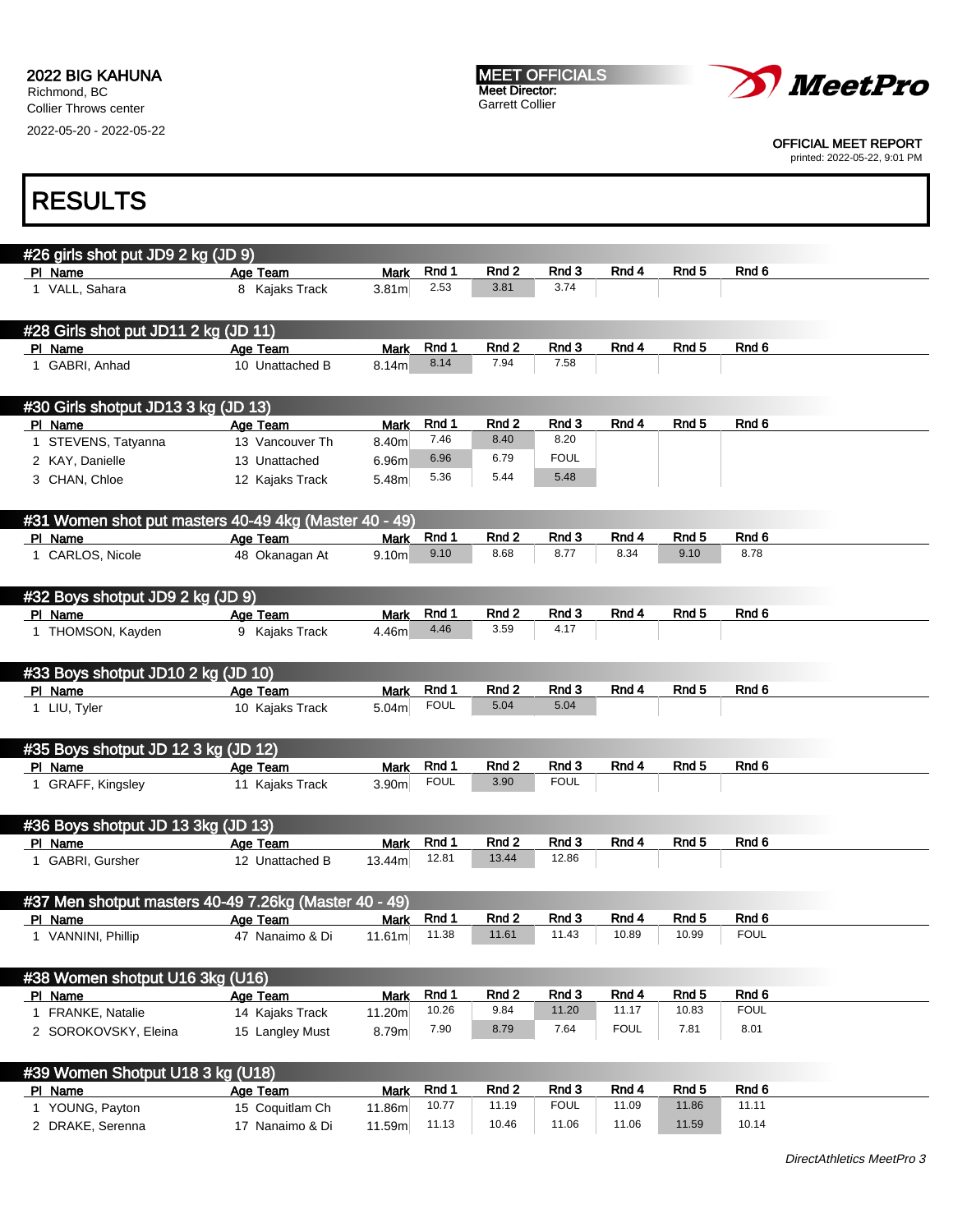2022-05-20 - 2022-05-22



OFFICIAL MEET REPORT

printed: 2022-05-22, 9:01 PM

# RESULTS

| #26 girls shot put JD9 2 kg (JD 9)                    |                 |                   |             |                  |               |             |                  |                  |
|-------------------------------------------------------|-----------------|-------------------|-------------|------------------|---------------|-------------|------------------|------------------|
| PI Name                                               | Age Team        | <b>Mark</b>       | Rnd 1       | Rnd 2            | Rnd 3         | Rnd 4       | Rnd <sub>5</sub> | Rnd 6            |
| 1 VALL, Sahara                                        | 8 Kajaks Track  | 3.81 <sub>m</sub> | 2.53        | 3.81             | 3.74          |             |                  |                  |
|                                                       |                 |                   |             |                  |               |             |                  |                  |
| #28 Girls shot put JD11 2 kg (JD 11)                  |                 |                   |             |                  |               |             |                  |                  |
| PI Name                                               | Age Team        | <b>Mark</b>       | Rnd 1       | Rnd 2            | Rnd 3         | Rnd 4       | Rnd <sub>5</sub> | Rnd 6            |
| 1 GABRI, Anhad                                        | 10 Unattached B | 8.14m             | 8.14        | 7.94             | 7.58          |             |                  |                  |
|                                                       |                 |                   |             |                  |               |             |                  |                  |
|                                                       |                 |                   |             |                  |               |             |                  |                  |
| #30 Girls shotput JD13 3 kg (JD 13)                   |                 |                   |             |                  |               |             |                  |                  |
| PI Name                                               | Age Team        | <b>Mark</b>       | Rnd 1       | Rnd 2            | Rnd 3         | Rnd 4       | Rnd <sub>5</sub> | Rnd 6            |
| 1 STEVENS, Tatyanna                                   | 13 Vancouver Th | 8.40m             | 7.46        | 8.40             | 8.20          |             |                  |                  |
| 2 KAY, Danielle                                       | 13 Unattached   | 6.96 <sub>m</sub> | 6.96        | 6.79             | <b>FOUL</b>   |             |                  |                  |
| 3 CHAN, Chloe                                         | 12 Kajaks Track | 5.48m             | 5.36        | 5.44             | 5.48          |             |                  |                  |
|                                                       |                 |                   |             |                  |               |             |                  |                  |
| #31 Women shot put masters 40-49 4kg (Master 40 - 49) |                 |                   |             |                  |               |             |                  |                  |
| PI Name                                               | Age Team        | <b>Mark</b>       | Rnd 1       | Rnd <sub>2</sub> | Rnd 3         | Rnd 4       | Rnd 5            | Rnd 6            |
| 1 CARLOS, Nicole                                      | 48 Okanagan At  | 9.10 <sub>m</sub> | 9.10        | 8.68             | 8.77          | 8.34        | 9.10             | 8.78             |
|                                                       |                 |                   |             |                  |               |             |                  |                  |
|                                                       |                 |                   |             |                  |               |             |                  |                  |
| #32 Boys shotput JD9 2 kg (JD 9)                      |                 |                   |             |                  |               |             |                  |                  |
| PI Name                                               | Age Team        | <b>Mark</b>       | Rnd 1       | Rnd 2<br>3.59    | Rnd 3<br>4.17 | Rnd 4       | Rnd 5            | Rnd 6            |
| 1 THOMSON, Kayden                                     | 9 Kajaks Track  | 4.46m             | 4.46        |                  |               |             |                  |                  |
|                                                       |                 |                   |             |                  |               |             |                  |                  |
| #33 Boys shotput JD10 2 kg (JD 10)                    |                 |                   |             |                  |               |             |                  |                  |
| PI Name                                               | Age Team        | <b>Mark</b>       | Rnd 1       | Rnd 2            | Rnd 3         | Rnd 4       | Rnd <sub>5</sub> | Rnd 6            |
| 1 LIU, Tyler                                          | 10 Kajaks Track | 5.04 <sub>m</sub> | <b>FOUL</b> | 5.04             | 5.04          |             |                  |                  |
|                                                       |                 |                   |             |                  |               |             |                  |                  |
| #35 Boys shotput JD 12 3 kg (JD 12)                   |                 |                   |             |                  |               |             |                  |                  |
| PI Name                                               | Age Team        | <b>Mark</b>       | Rnd 1       | Rnd 2            | Rnd 3         | Rnd 4       | Rnd 5            | Rnd <sub>6</sub> |
| 1 GRAFF, Kingsley                                     | 11 Kajaks Track | 3.90m             | <b>FOUL</b> | 3.90             | <b>FOUL</b>   |             |                  |                  |
|                                                       |                 |                   |             |                  |               |             |                  |                  |
|                                                       |                 |                   |             |                  |               |             |                  |                  |
| #36 Boys shotput JD 13 3kg (JD 13)                    |                 |                   |             |                  |               |             |                  |                  |
| PI Name                                               | Age Team        | <b>Mark</b>       | Rnd 1       | Rnd 2<br>13.44   | Rnd 3         | Rnd 4       | Rnd <sub>5</sub> | Rnd 6            |
| 1 GABRI, Gursher                                      | 12 Unattached B | 13.44m            | 12.81       |                  | 12.86         |             |                  |                  |
|                                                       |                 |                   |             |                  |               |             |                  |                  |
| #37 Men shotput masters 40-49 7.26kg (Master 40 - 49) |                 |                   |             |                  |               |             |                  |                  |
| PI Name                                               | Age Team        | Mark              | Rnd 1       | Rnd 2            | Rnd 3         | Rnd 4       | Rnd <sub>5</sub> | Rnd 6            |
| 1 VANNINI, Phillip                                    | 47 Nanaimo & Di | 11.61m            | 11.38       | 11.61            | 11.43         | 10.89       | 10.99            | <b>FOUL</b>      |
|                                                       |                 |                   |             |                  |               |             |                  |                  |
| #38 Women shotput U16 3kg (U16)                       |                 |                   |             |                  |               |             |                  |                  |
| PI Name                                               | Age Team        | <b>Mark</b>       | Rnd 1       | Rnd 2            | Rnd 3         | Rnd 4       | Rnd 5            | Rnd 6            |
| 1 FRANKE, Natalie                                     | 14 Kajaks Track | 11.20m            | 10.26       | 9.84             | 11.20         | 11.17       | 10.83            | <b>FOUL</b>      |
|                                                       |                 |                   | 7.90        | 8.79             | 7.64          | <b>FOUL</b> | 7.81             | 8.01             |
| 2 SOROKOVSKY, Eleina                                  | 15 Langley Must | 8.79m             |             |                  |               |             |                  |                  |
|                                                       |                 |                   |             |                  |               |             |                  |                  |
| #39 Women Shotput U18 3 kg (U18)                      |                 |                   |             |                  |               |             |                  |                  |
| PI Name                                               | Age Team        | <b>Mark</b>       | Rnd 1       | Rnd 2            | Rnd 3         | Rnd 4       | Rnd 5            | Rnd 6            |
| 1 YOUNG, Payton                                       | 15 Coquitlam Ch | 11.86m            | 10.77       | 11.19            | <b>FOUL</b>   | 11.09       | 11.86            | 11.11            |

2 DRAKE, Serenna 17 Nanaimo & Di 11.59m 11.13 10.46 11.06 11.06 11.59 10.14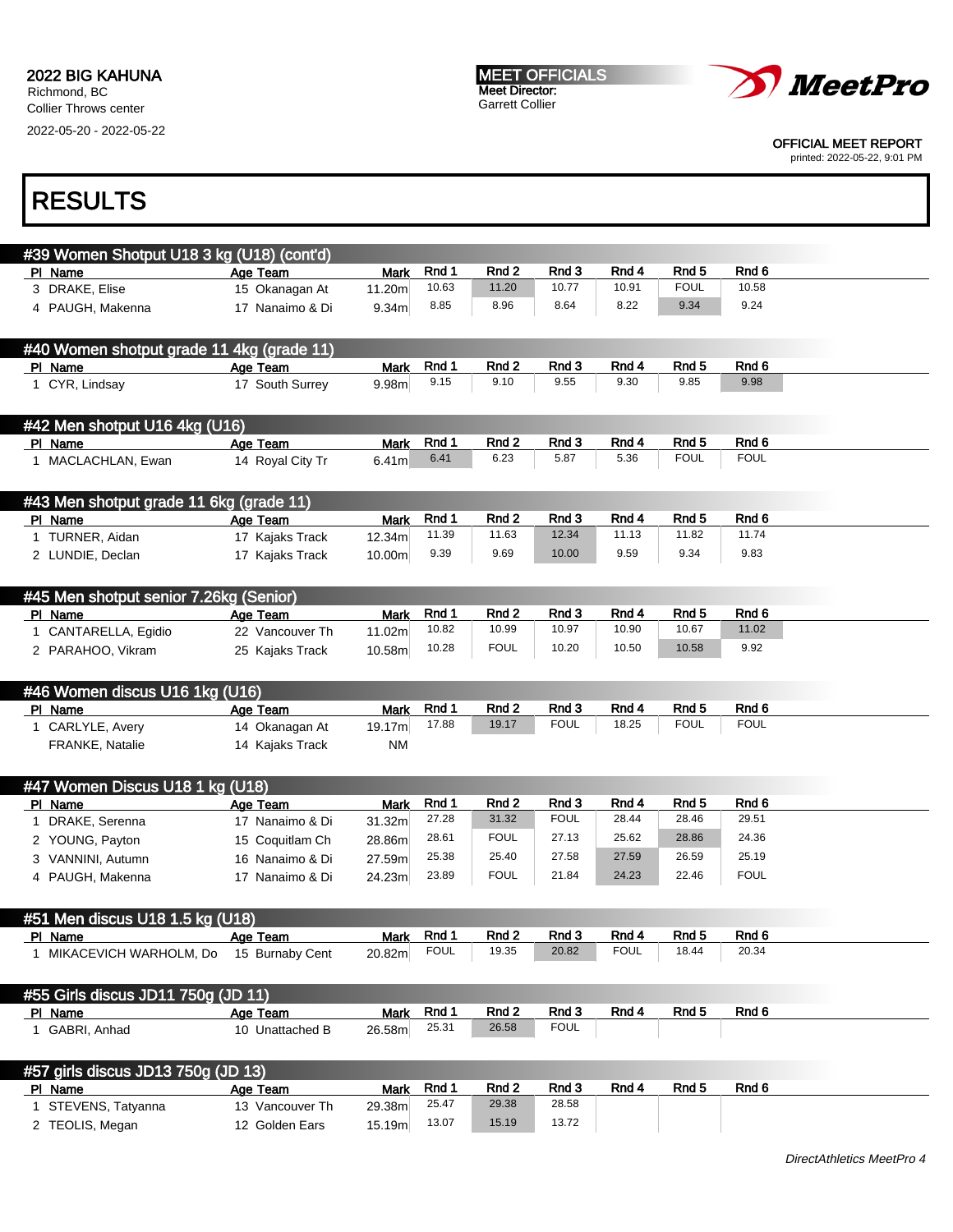MEET OFFICIALS Meet Director: Garrett Collier



OFFICIAL MEET REPORT

printed: 2022-05-22, 9:01 PM

| #39 Women Shotput U18 3 kg (U18) (cont'd)                                                                                                                                  |                  |                   |                |                  |                |             |                  |                  |
|----------------------------------------------------------------------------------------------------------------------------------------------------------------------------|------------------|-------------------|----------------|------------------|----------------|-------------|------------------|------------------|
| PI Name                                                                                                                                                                    | Age Team         | <b>Mark</b>       | Rnd 1          | Rnd 2            | Rnd 3          | Rnd 4       | Rnd 5            | Rnd 6            |
| 3 DRAKE, Elise                                                                                                                                                             | 15 Okanagan At   | 11.20m            | 10.63          | 11.20            | 10.77          | 10.91       | <b>FOUL</b>      | 10.58            |
|                                                                                                                                                                            | 17 Nanaimo & Di  |                   | 8.85           | 8.96             | 8.64           | 8.22        | 9.34             | 9.24             |
| 4 PAUGH, Makenna                                                                                                                                                           |                  | 9.34 <sub>m</sub> |                |                  |                |             |                  |                  |
| #40 Women shotput grade 11 4kg (grade 11)                                                                                                                                  |                  |                   |                |                  |                |             |                  |                  |
| PI Name                                                                                                                                                                    | Age Team         | <b>Mark</b>       | Rnd 1          | Rnd 2            | Rnd 3          | Rnd 4       | Rnd 5            | Rnd 6            |
| 1 CYR, Lindsay                                                                                                                                                             | 17 South Surrey  | 9.98m             | 9.15           | 9.10             | 9.55           | 9.30        | 9.85             | 9.98             |
| #42 Men shotput U16 4kg (U16)                                                                                                                                              |                  |                   |                |                  |                |             |                  |                  |
| PI Name                                                                                                                                                                    | Age Team         | <b>Mark</b>       | Rnd 1          | Rnd 2            | Rnd 3          | Rnd 4       | Rnd <sub>5</sub> | Rnd 6            |
| 1 MACLACHLAN, Ewan                                                                                                                                                         | 14 Royal City Tr | 6.41 <sub>m</sub> | 6.41           | 6.23             | 5.87           | 5.36        | <b>FOUL</b>      | <b>FOUL</b>      |
| #43 Men shotput grade 11 6kg (grade 11)                                                                                                                                    |                  |                   |                |                  |                |             |                  |                  |
| PI Name                                                                                                                                                                    | Age Team         | <b>Mark</b>       | Rnd 1          | Rnd 2            | Rnd 3          | Rnd 4       | Rnd <sub>5</sub> | Rnd <sub>6</sub> |
| 1 TURNER, Aidan                                                                                                                                                            | 17 Kajaks Track  | 12.34m            | 11.39          | 11.63            | 12.34          | 11.13       | 11.82            | 11.74            |
| 2 LUNDIE, Declan                                                                                                                                                           | 17 Kajaks Track  | 10.00m            | 9.39           | 9.69             | 10.00          | 9.59        | 9.34             | 9.83             |
| #45 Men shotput senior 7.26kg (Senior)                                                                                                                                     |                  |                   |                |                  |                |             |                  |                  |
| PI Name                                                                                                                                                                    | Age Team         | Mark              | Rnd 1          | Rnd 2            | Rnd 3          | Rnd 4       | Rnd <sub>5</sub> | Rnd 6            |
| 1 CANTARELLA, Egidio                                                                                                                                                       | 22 Vancouver Th  | 11.02m            | 10.82          | 10.99            | 10.97          | 10.90       | 10.67            | 11.02            |
| 2 PARAHOO, Vikram                                                                                                                                                          | 25 Kajaks Track  | 10.58m            | 10.28          | <b>FOUL</b>      | 10.20          | 10.50       | 10.58            | 9.92             |
| #46 Women discus U16 1kg (U16)                                                                                                                                             |                  |                   |                |                  |                |             |                  |                  |
| PI Name                                                                                                                                                                    | Age Team         | <b>Mark</b>       | Rnd 1          | Rnd 2            | Rnd 3          | Rnd 4       | Rnd <sub>5</sub> | Rnd 6            |
| 1 CARLYLE, Avery                                                                                                                                                           | 14 Okanagan At   | 19.17m            | 17.88          | 19.17            | <b>FOUL</b>    | 18.25       | <b>FOUL</b>      | <b>FOUL</b>      |
| FRANKE, Natalie                                                                                                                                                            | 14 Kajaks Track  | <b>NM</b>         |                |                  |                |             |                  |                  |
| #47 Women Discus U18 1 kg (U18)                                                                                                                                            |                  |                   |                |                  |                |             |                  |                  |
| PI Name                                                                                                                                                                    | Age Team         | <b>Mark</b>       | Rnd 1          | Rnd 2            | Rnd 3          | Rnd 4       | Rnd 5            | Rnd 6            |
| 1 DRAKE, Serenna                                                                                                                                                           | 17 Nanaimo & Di  | 31.32m            | 27.28          | 31.32            |                |             | 28.46            | 29.51            |
|                                                                                                                                                                            |                  |                   |                |                  | <b>FOUL</b>    | 28.44       |                  |                  |
|                                                                                                                                                                            | 15 Coquitlam Ch  | 28.86m            | 28.61          | <b>FOUL</b>      | 27.13          | 25.62       | 28.86            | 24.36            |
| VANNINI, Autumn                                                                                                                                                            | 16 Nanaimo & Di  | 27.59m            | 25.38          | 25.40            | 27.58          | 27.59       | 26.59            | 25.19            |
|                                                                                                                                                                            | 17 Nanaimo & Di  | 24.23m            | 23.89          | <b>FOUL</b>      | 21.84          | 24.23       | 22.46            | <b>FOUL</b>      |
|                                                                                                                                                                            |                  |                   |                |                  |                |             |                  |                  |
|                                                                                                                                                                            | Age Team         | Mark              | Rnd 1          | Rnd <sub>2</sub> | Rnd 3          | Rnd 4       | Rnd 5            | Rnd 6            |
|                                                                                                                                                                            | 15 Burnaby Cent  | 20.82m            | <b>FOUL</b>    | 19.35            | 20.82          | <b>FOUL</b> | 18.44            | 20.34            |
|                                                                                                                                                                            |                  |                   |                |                  |                |             |                  |                  |
|                                                                                                                                                                            | Age Team         | <b>Mark</b>       | Rnd 1          | Rnd 2            | Rnd 3          | Rnd 4       | Rnd 5            | Rnd 6            |
|                                                                                                                                                                            | 10 Unattached B  | 26.58m            | 25.31          | 26.58            | <b>FOUL</b>    |             |                  |                  |
| 2 YOUNG, Payton<br>3<br>4 PAUGH, Makenna<br>1 MIKACEVICH WARHOLM, Do<br>1 GABRI, Anhad                                                                                     |                  |                   |                |                  |                |             |                  |                  |
|                                                                                                                                                                            | Age Team         | <b>Mark</b>       | Rnd 1          | Rnd 2            | Rnd 3          | Rnd 4       | Rnd 5            | Rnd 6            |
| #51 Men discus U18 1.5 kg (U18)<br><u>PI Name</u><br>#55 Girls discus JD11 750g (JD 11)<br>PI Name<br>#57 girls discus JD13 750g (JD 13)<br>PI Name<br>1 STEVENS, Tatyanna | 13 Vancouver Th  | 29.38m            | 25.47<br>13.07 | 29.38            | 28.58<br>13.72 |             |                  |                  |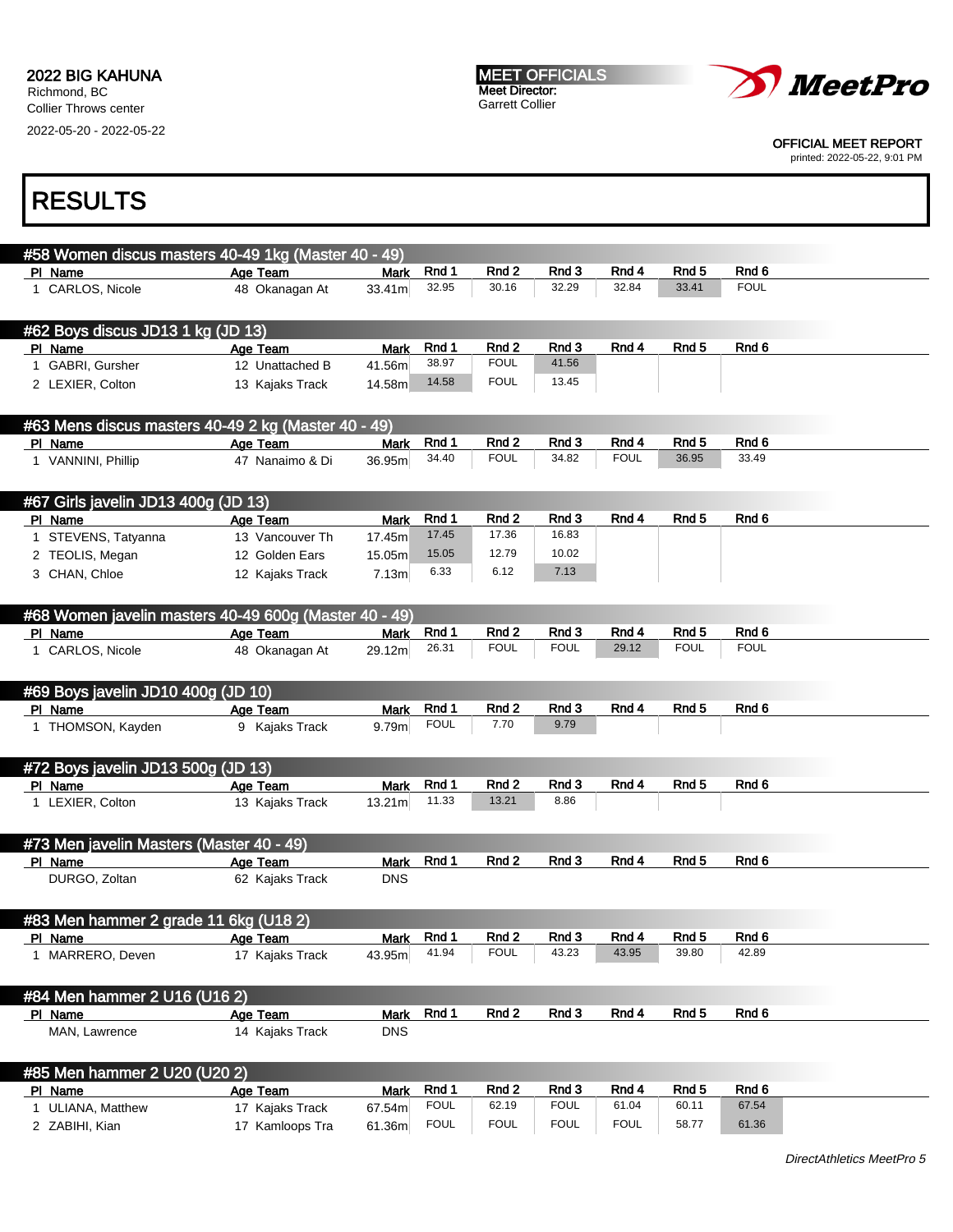2022-05-20 - 2022-05-22



OFFICIAL MEET REPORT

printed: 2022-05-22, 9:01 PM

## RESULTS

| #58 Women discus masters 40-49 1kg (Master 40 - 49)   |                 |             |                |                  |               |             |                  |             |  |
|-------------------------------------------------------|-----------------|-------------|----------------|------------------|---------------|-------------|------------------|-------------|--|
| PI Name                                               | Age Team        | <b>Mark</b> | Rnd 1          | Rnd 2            | Rnd 3         | Rnd 4       | Rnd <sub>5</sub> | Rnd 6       |  |
| 1 CARLOS, Nicole                                      | 48 Okanagan At  | 33.41m      | 32.95          | 30.16            | 32.29         | 32.84       | 33.41            | <b>FOUL</b> |  |
|                                                       |                 |             |                |                  |               |             |                  |             |  |
| #62 Boys discus JD13 1 kg (JD 13)                     |                 |             |                |                  |               |             |                  |             |  |
| PI Name                                               | Age Team        | Mark        | Rnd 1          | Rnd 2            | Rnd 3         | Rnd 4       | Rnd <sub>5</sub> | Rnd 6       |  |
| 1 GABRI, Gursher                                      | 12 Unattached B | 41.56m      | 38.97          | <b>FOUL</b>      | 41.56         |             |                  |             |  |
| 2 LEXIER, Colton                                      | 13 Kajaks Track | 14.58m      | 14.58          | <b>FOUL</b>      | 13.45         |             |                  |             |  |
|                                                       |                 |             |                |                  |               |             |                  |             |  |
|                                                       |                 |             |                |                  |               |             |                  |             |  |
| #63 Mens discus masters 40-49 2 kg (Master 40 - 49)   |                 |             |                |                  |               |             |                  |             |  |
| PI Name                                               | Age Team        | <b>Mark</b> | Rnd 1          | Rnd 2            | Rnd 3         | Rnd 4       | Rnd <sub>5</sub> | Rnd 6       |  |
| 1 VANNINI, Phillip                                    | 47 Nanaimo & Di | 36.95m      | 34.40          | <b>FOUL</b>      | 34.82         | <b>FOUL</b> | 36.95            | 33.49       |  |
|                                                       |                 |             |                |                  |               |             |                  |             |  |
| #67 Girls javelin JD13 400g (JD 13)                   |                 |             |                |                  |               |             |                  |             |  |
| PI Name                                               | Age Team        | <b>Mark</b> | Rnd 1          | Rnd 2            | Rnd 3         | Rnd 4       | Rnd <sub>5</sub> | Rnd 6       |  |
| 1 STEVENS, Tatyanna                                   | 13 Vancouver Th | 17.45m      | 17.45          | 17.36            | 16.83         |             |                  |             |  |
| 2 TEOLIS, Megan                                       | 12 Golden Ears  | 15.05m      | 15.05          | 12.79            | 10.02         |             |                  |             |  |
| 3 CHAN, Chloe                                         | 12 Kajaks Track | 7.13m       | 6.33           | 6.12             | 7.13          |             |                  |             |  |
|                                                       |                 |             |                |                  |               |             |                  |             |  |
|                                                       |                 |             |                |                  |               |             |                  |             |  |
| #68 Women javelin masters 40-49 600g (Master 40 - 49) |                 |             |                |                  |               |             |                  |             |  |
| PI Name                                               | Age Team        | <b>Mark</b> | Rnd 1          | Rnd <sub>2</sub> | Rnd 3         | Rnd 4       | Rnd <sub>5</sub> | Rnd 6       |  |
| 1 CARLOS, Nicole                                      | 48 Okanagan At  | 29.12m      | 26.31          | <b>FOUL</b>      | <b>FOUL</b>   | 29.12       | <b>FOUL</b>      | <b>FOUL</b> |  |
|                                                       |                 |             |                |                  |               |             |                  |             |  |
| #69 Boys javelin JD10 400g (JD 10)                    |                 |             |                |                  |               |             |                  |             |  |
| PI Name                                               | Age Team        | <b>Mark</b> | Rnd 1          | Rnd 2            | Rnd 3         | Rnd 4       | Rnd <sub>5</sub> | Rnd 6       |  |
| 1 THOMSON, Kayden                                     | 9 Kajaks Track  | 9.79m       | <b>FOUL</b>    | 7.70             | 9.79          |             |                  |             |  |
|                                                       |                 |             |                |                  |               |             |                  |             |  |
|                                                       |                 |             |                |                  |               |             |                  |             |  |
| #72 Boys javelin JD13 500g (JD 13)                    |                 |             |                |                  |               |             | Rnd <sub>5</sub> | Rnd 6       |  |
| PI Name                                               | Age Team        | <b>Mark</b> | Rnd 1<br>11.33 | Rnd 2<br>13.21   | Rnd 3<br>8.86 | Rnd 4       |                  |             |  |
| 1 LEXIER, Colton                                      | 13 Kajaks Track | 13.21m      |                |                  |               |             |                  |             |  |
|                                                       |                 |             |                |                  |               |             |                  |             |  |
| #73 Men javelin Masters (Master 40 - 49)              |                 |             |                |                  |               |             |                  |             |  |
| PI Name                                               | Age Team        | Mark        | Rnd 1          | Rnd 2            | Rnd 3         | Rnd 4       | Rnd <sub>5</sub> | Rnd 6       |  |
| DURGO, Zoltan                                         | 62 Kajaks Track | <b>DNS</b>  |                |                  |               |             |                  |             |  |
|                                                       |                 |             |                |                  |               |             |                  |             |  |
| #83 Men hammer 2 grade 11 6kg (U18 2)                 |                 |             |                |                  |               |             |                  |             |  |
| PI Name                                               | Age Team        | <b>Mark</b> | Rnd 1          | Rnd 2            | Rnd 3         | Rnd 4       | Rnd 5            | Rnd 6       |  |
| 1 MARRERO, Deven                                      | 17 Kajaks Track | 43.95m      | 41.94          | <b>FOUL</b>      | 43.23         | 43.95       | 39.80            | 42.89       |  |
|                                                       |                 |             |                |                  |               |             |                  |             |  |
|                                                       |                 |             |                |                  |               |             |                  |             |  |
| #84 Men hammer 2 U16 (U16 2)                          |                 |             |                |                  |               |             |                  |             |  |
| PI Name                                               | Age Team        | <b>Mark</b> | Rnd 1          | Rnd 2            | Rnd 3         | Rnd 4       | Rnd 5            | Rnd 6       |  |
| MAN, Lawrence                                         | 14 Kajaks Track | <b>DNS</b>  |                |                  |               |             |                  |             |  |
|                                                       |                 |             |                |                  |               |             |                  |             |  |
| #85 Men hammer 2 U20 (U20 2)                          |                 |             |                |                  |               |             |                  |             |  |
| PI Name                                               | Age Team        | <b>Mark</b> | Rnd 1          | Rnd 2            | Rnd 3         | Rnd 4       | Rnd 5            | Rnd 6       |  |
| 1 ULIANA, Matthew                                     | 17 Kajaks Track | 67.54m      | <b>FOUL</b>    | 62.19            | <b>FOUL</b>   | 61.04       | 60.11            | 67.54       |  |
|                                                       |                 |             |                |                  |               |             |                  |             |  |

2 ZABIHI, Kian **17 Kamloops Tra** 61.36m FOUL FOUL FOUL FOUL 58.77 61.36

DirectAthletics MeetPro 5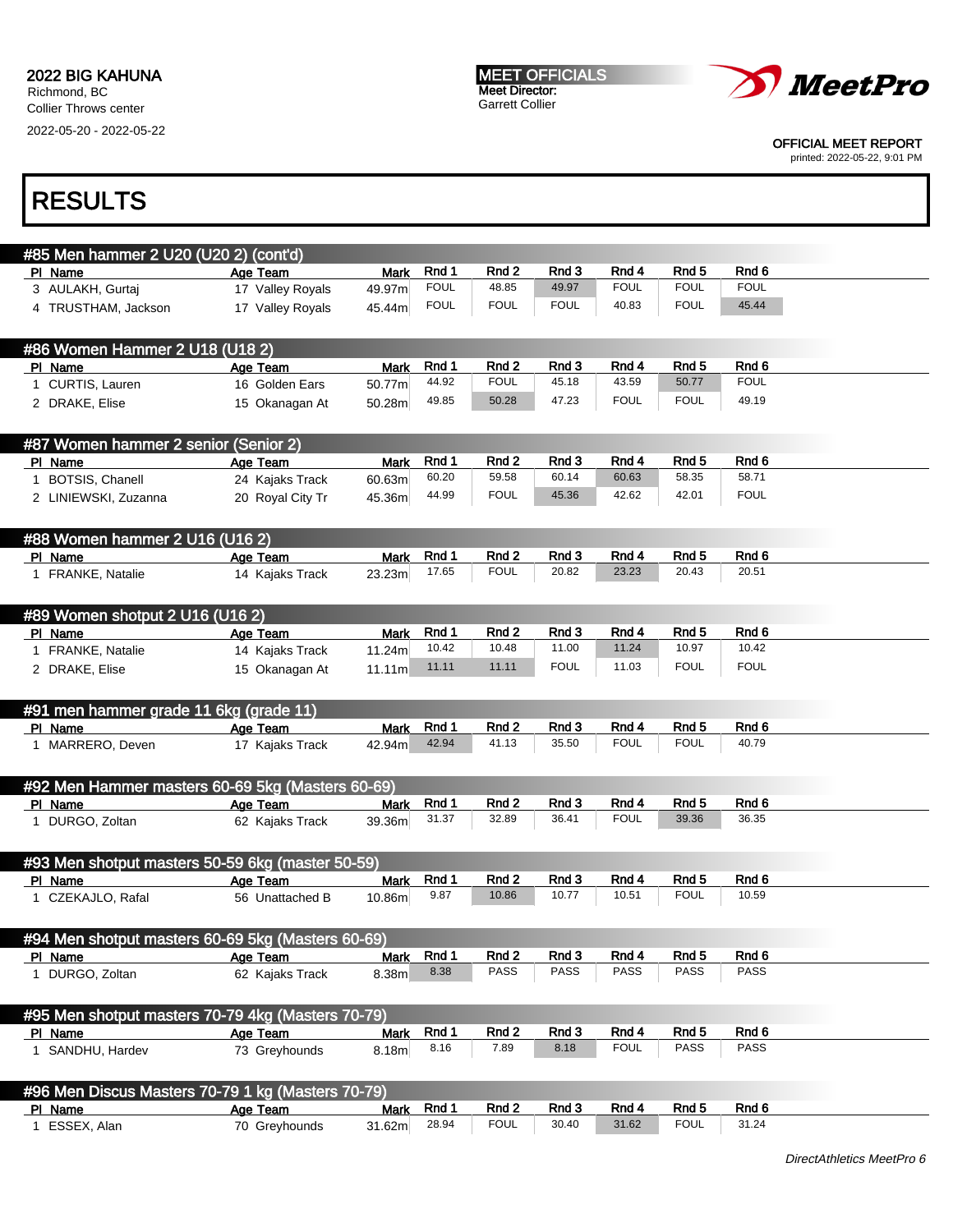MEET OFFICIALS Meet Director: Garrett Collier



OFFICIAL MEET REPORT

printed: 2022-05-22, 9:01 PM

| #85 Men hammer 2 U20 (U20 2) (cont'd)             |                  |             |               |                      |                      |                      |                      |             |
|---------------------------------------------------|------------------|-------------|---------------|----------------------|----------------------|----------------------|----------------------|-------------|
| PI Name                                           | Age Team         | Mark        | Rnd 1         | Rnd 2                | Rnd 3                | Rnd 4                | Rnd <sub>5</sub>     | Rnd 6       |
| 3 AULAKH, Gurtaj                                  | 17 Valley Royals | 49.97m      | <b>FOUL</b>   | 48.85                | 49.97                | <b>FOUL</b>          | <b>FOUL</b>          | <b>FOUL</b> |
| 4 TRUSTHAM, Jackson                               | 17 Valley Royals | 45.44m      | <b>FOUL</b>   | <b>FOUL</b>          | <b>FOUL</b>          | 40.83                | <b>FOUL</b>          | 45.44       |
|                                                   |                  |             |               |                      |                      |                      |                      |             |
| #86 Women Hammer 2 U18 (U18 2)                    |                  |             |               |                      |                      |                      |                      |             |
| PI Name                                           | Age Team         | <b>Mark</b> | Rnd 1         | Rnd 2                | Rnd 3                | Rnd 4                | Rnd <sub>5</sub>     | Rnd 6       |
| 1 CURTIS, Lauren                                  | 16 Golden Ears   | 50.77m      | 44.92         | <b>FOUL</b>          | 45.18                | 43.59                | 50.77                | <b>FOUL</b> |
|                                                   |                  |             | 49.85         | 50.28                | 47.23                | <b>FOUL</b>          | <b>FOUL</b>          | 49.19       |
| 2 DRAKE, Elise                                    | 15 Okanagan At   | 50.28m      |               |                      |                      |                      |                      |             |
| #87 Women hammer 2 senior (Senior 2)              |                  |             |               |                      |                      |                      |                      |             |
| PI Name                                           | Age Team         | Mark        | Rnd 1         | Rnd 2                | Rnd 3                | Rnd 4                | Rnd 5                | Rnd 6       |
| 1 BOTSIS, Chanell                                 | 24 Kajaks Track  | 60.63m      | 60.20         | 59.58                | 60.14                | 60.63                | 58.35                | 58.71       |
| 2 LINIEWSKI, Zuzanna                              | 20 Royal City Tr | 45.36m      | 44.99         | <b>FOUL</b>          | 45.36                | 42.62                | 42.01                | <b>FOUL</b> |
|                                                   |                  |             |               |                      |                      |                      |                      |             |
| #88 Women hammer 2 U16 (U16 2)                    |                  |             |               |                      |                      |                      |                      |             |
| PI Name                                           | Age Team         | <b>Mark</b> | Rnd 1         | Rnd 2                | Rnd 3                | Rnd 4                | Rnd 5                | Rnd 6       |
| 1 FRANKE, Natalie                                 | 14 Kajaks Track  | 23.23m      | 17.65         | <b>FOUL</b>          | 20.82                | 23.23                | 20.43                | 20.51       |
|                                                   |                  |             |               |                      |                      |                      |                      |             |
| #89 Women shotput 2 U16 (U16 2)                   |                  |             |               |                      |                      |                      |                      |             |
| PI Name                                           | Age Team         | <b>Mark</b> | Rnd 1         | Rnd 2                | Rnd 3                | Rnd 4                | Rnd <sub>5</sub>     | Rnd 6       |
| 1 FRANKE, Natalie                                 | 14 Kajaks Track  | 11.24m      | 10.42         | 10.48                | 11.00                | 11.24                | 10.97                | 10.42       |
| 2 DRAKE, Elise                                    | 15 Okanagan At   | 11.11m      | 11.11         | 11.11                | <b>FOUL</b>          | 11.03                | <b>FOUL</b>          | <b>FOUL</b> |
|                                                   |                  |             |               |                      |                      |                      |                      |             |
| #91 men hammer grade 11 6kg (grade 11)            |                  |             |               |                      |                      |                      |                      |             |
| PI Name                                           | Age Team         | Mark        | Rnd 1         | Rnd 2                | Rnd 3                | Rnd 4                | Rnd <sub>5</sub>     | Rnd 6       |
| 1 MARRERO, Deven                                  | 17 Kajaks Track  | 42.94m      | 42.94         | 41.13                | 35.50                | <b>FOUL</b>          | <b>FOUL</b>          | 40.79       |
|                                                   |                  |             |               |                      |                      |                      |                      |             |
| #92 Men Hammer masters 60-69 5kg (Masters 60-69)  |                  |             |               |                      |                      |                      |                      |             |
| PI Name                                           | Age Team         | <b>Mark</b> | Rnd 1         | Rnd 2                | Rnd 3                | Rnd 4                | Rnd <sub>5</sub>     | Rnd 6       |
| 1 DURGO, Zoltan                                   | 62 Kajaks Track  | 39.36m      | 31.37         | 32.89                | 36.41                | <b>FOUL</b>          | 39.36                | 36.35       |
|                                                   |                  |             |               |                      |                      |                      |                      |             |
| #93 Men shotput masters 50-59 6kg (master 50-59)  |                  |             |               |                      |                      |                      |                      |             |
| PI Name                                           | Age Team         | <b>Mark</b> | Rnd 1         | Rnd 2                | Rnd 3                | Rnd 4                | Rnd 5                | Rnd 6       |
| 1 CZEKAJLO, Rafal                                 | 56 Unattached B  | 10.86m      | 9.87          | 10.86                | 10.77                | 10.51                | <b>FOUL</b>          | 10.59       |
|                                                   |                  |             |               |                      |                      |                      |                      |             |
| #94 Men shotput masters 60-69 5kg (Masters 60-69) |                  |             |               |                      |                      |                      |                      | Rnd 6       |
| PI Name                                           | Age Team         | Mark        | Rnd 1<br>8.38 | Rnd 2<br><b>PASS</b> | Rnd 3<br><b>PASS</b> | Rnd 4<br><b>PASS</b> | Rnd 5<br><b>PASS</b> | PASS        |
| 1 DURGO, Zoltan                                   | 62 Kajaks Track  | 8.38m       |               |                      |                      |                      |                      |             |
| #95 Men shotput masters 70-79 4kg (Masters 70-79) |                  |             |               |                      |                      |                      |                      |             |
| PI Name                                           | Age Team         | <b>Mark</b> | Rnd 1         | Rnd 2                | Rnd 3                | Rnd 4                | Rnd <sub>5</sub>     | Rnd 6       |
| 1 SANDHU, Hardev                                  | 73 Greyhounds    | 8.18m       | 8.16          | 7.89                 | 8.18                 | <b>FOUL</b>          | <b>PASS</b>          | PASS        |
|                                                   |                  |             |               |                      |                      |                      |                      |             |
| #96 Men Discus Masters 70-79 1 kg (Masters 70-79) |                  |             |               |                      |                      |                      |                      |             |
| PI Name                                           | Age Team         | <b>Mark</b> | Rnd 1         | Rnd 2                | Rnd 3                | Rnd 4                | Rnd 5                | Rnd 6       |
| 1 ESSEX, Alan                                     | 70 Greyhounds    | 31.62m      | 28.94         | <b>FOUL</b>          | 30.40                | 31.62                | <b>FOUL</b>          | 31.24       |
|                                                   |                  |             |               |                      |                      |                      |                      |             |